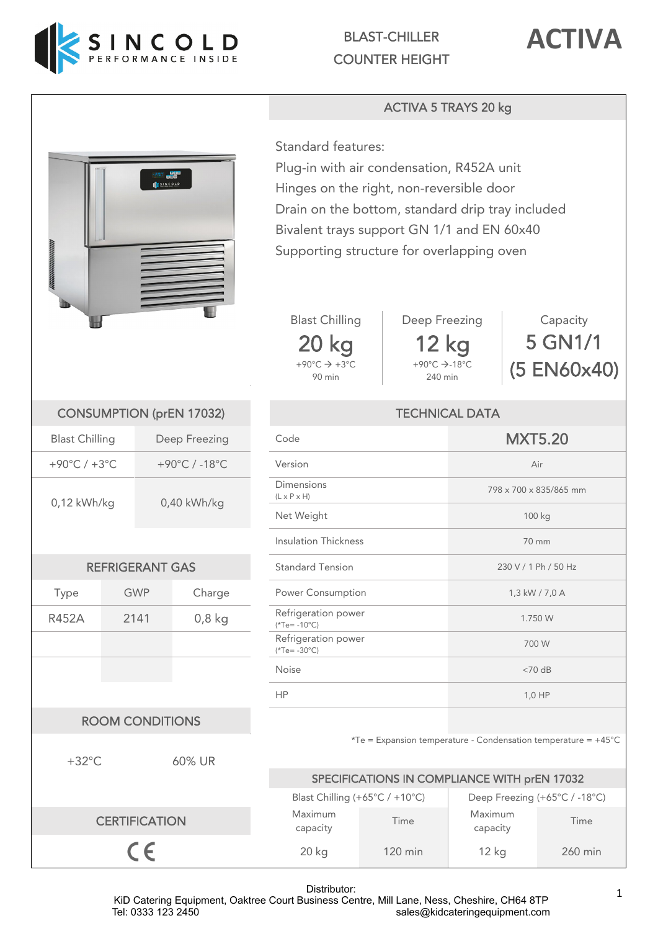



## ACTIVA 5 TRAYS 20 kg



Standard features: Plug-in with air condensation, R452A unit Hinges on the right, non-reversible door Drain on the bottom, standard drip tray included Bivalent trays support GN 1/1 and EN 60x40 Supporting structure for overlapping oven





 $+90^{\circ}$ C $\rightarrow$ -18°C 240 min

Capacity 5 GN1/1 (5 EN60x40)

| <b>Blast Chilling</b>            |            | Deep Freezing | Code                                         | <b>MXT5.20</b>         |  |
|----------------------------------|------------|---------------|----------------------------------------------|------------------------|--|
| $-90^{\circ}$ C / $+3^{\circ}$ C |            | +90°C / -18°C | Version                                      | Air                    |  |
| 0,12 kWh/kg                      |            |               | <b>Dimensions</b><br>$(L \times P \times H)$ | 798 x 700 x 835/865 mm |  |
|                                  |            | $0,40$ kWh/kg | Net Weight                                   | 100 kg                 |  |
|                                  |            |               | <b>Insulation Thickness</b>                  | 70 mm                  |  |
| <b>REFRIGERANT GAS</b>           |            |               | <b>Standard Tension</b>                      | 230 V / 1 Ph / 50 Hz   |  |
| Type                             | <b>GWP</b> | Charge        | Power Consumption                            | 1,3 kW / 7,0 A         |  |
| 452A                             | 2141       | $0,8$ kg      | Refrigeration power<br>$(*Te = -10°C)$       | 1.750 W                |  |
|                                  |            |               | Refrigeration power<br>$(*Te = -30°C)$       | 700 W                  |  |
|                                  |            |               | Noise                                        | $<$ 70 dB              |  |
|                                  |            |               | <b>HP</b>                                    | 1,0 HP                 |  |
|                                  |            |               |                                              |                        |  |

## $*Te =$  Expansion temperature - Condensation temperature =  $+45^{\circ}$ C

|   | SPECIFICATIONS IN COMPLIANCE WITH prEN 17032 |                   |                               |         |  |  |
|---|----------------------------------------------|-------------------|-------------------------------|---------|--|--|
|   | Blast Chilling (+65°C / +10°C)               |                   | Deep Freezing (+65°C / -18°C) |         |  |  |
| N | Maximum<br>capacity                          | Time              | Maximum<br>capacity           | Time    |  |  |
|   | $20$ kg                                      | $120 \text{ min}$ | 12 <sub>kg</sub>              | 260 min |  |  |

CONSUMPTION (prEN 17032) Blast Chilling Deep Freezing  $+90^{\circ}$ C /  $+3^{\circ}$ C  $+90^{\circ}$ C / -18 $^{\circ}$ C 0,12 kWh/kg 0,40 kWh/kg REFRIGERANT GAS R452A 2141 0,8 kg Refrigeration power ROOM CONDITIONS +32°C 60% UR **CERTIFICATIO** 

 $C \in$ 

Distributor:

KiD Catering Equipment, Oaktree Court Business Centre, Mill Lane, Ness, Cheshire, CH64 8TP<br>sales@kidcateringequipment.com sales@kidcateringequipment.com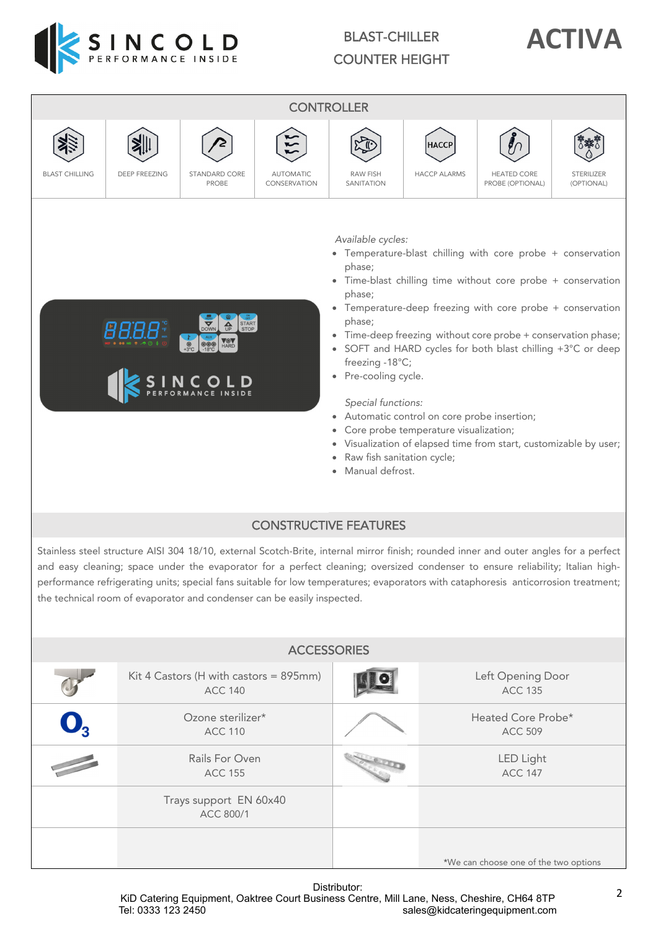

## BLAST-CHILLER COUNTER HEIGHT





\*We can choose one of the two options

Distributor: KiD Catering Equipment, Oaktree Court Business Centre, Mill Lane, Ness, Cheshire, CH64 8TP<br>sales@kidcateringequipment.com sales@kidcateringequipment.com